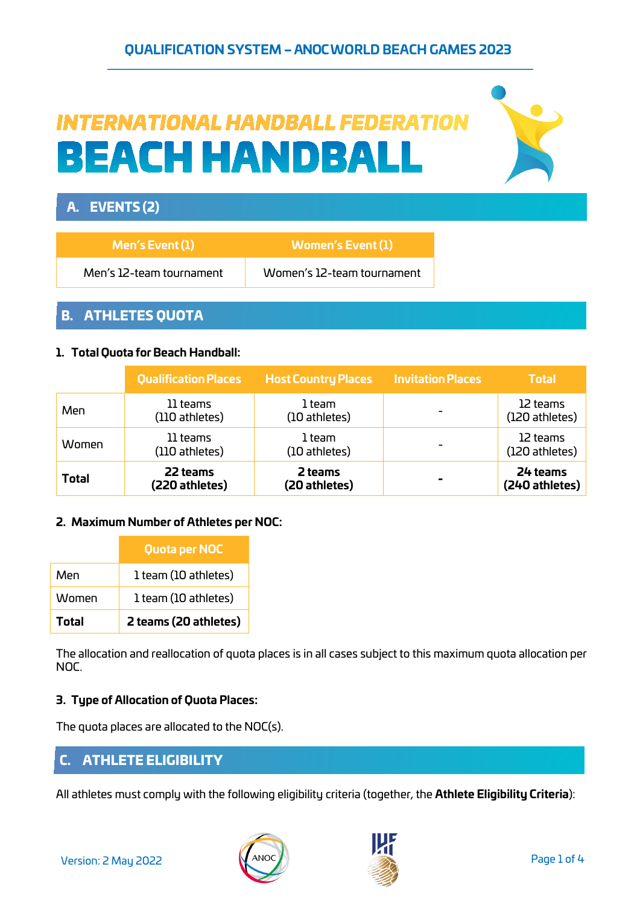# **QUALIFICATION SYSTEM – ANOC WORLD BEACH GAMES 2023**

# **INTERNATIONAL HANDBALL FEDERATION BEACH HANDBALL**



# A. EVENTS (2)

| Men's $Event(1)$         | Women's Event (1)          |
|--------------------------|----------------------------|
| Men's 12-team tournament | Women's 12-team tournament |

## B. ATHLETES QUOTA

#### **1. Total Quota for Beach Handball:**

|              | <b>Qualification Places</b> | <b>Host Country Places</b> | <b>Invitation Places</b> | <b>Total</b>               |
|--------------|-----------------------------|----------------------------|--------------------------|----------------------------|
| Men          | 11 teams<br>(110 athletes)  | 1 team<br>(10 athletes)    |                          | 12 teams<br>(120 athletes) |
| Women        | 11 teams<br>(110 athletes)  | 1 team<br>(10 athletes)    |                          | 12 teams<br>(120 athletes) |
| <b>Total</b> | 22 teams<br>(220 athletes)  | 2 teams<br>(20 athletes)   |                          | 24 teams<br>(240 athletes) |

#### **2. Maximum Number of Athletes per NOC:**

|       | Quota per NOC         |
|-------|-----------------------|
| Men   | 1 team (10 athletes)  |
| Women | 1 team (10 athletes)  |
| Total | 2 teams (20 athletes) |

The allocation and reallocation of quota places is in all cases subject to this maximum quota allocation per NOC.

#### **3. Type of Allocation of Quota Places:**

The quota places are allocated to the NOC(s).

## C. ATHLETE ELIGIBILITY

All athletes must comply with the following eligibility criteria (together, the **Athlete Eligibility Criteria**):



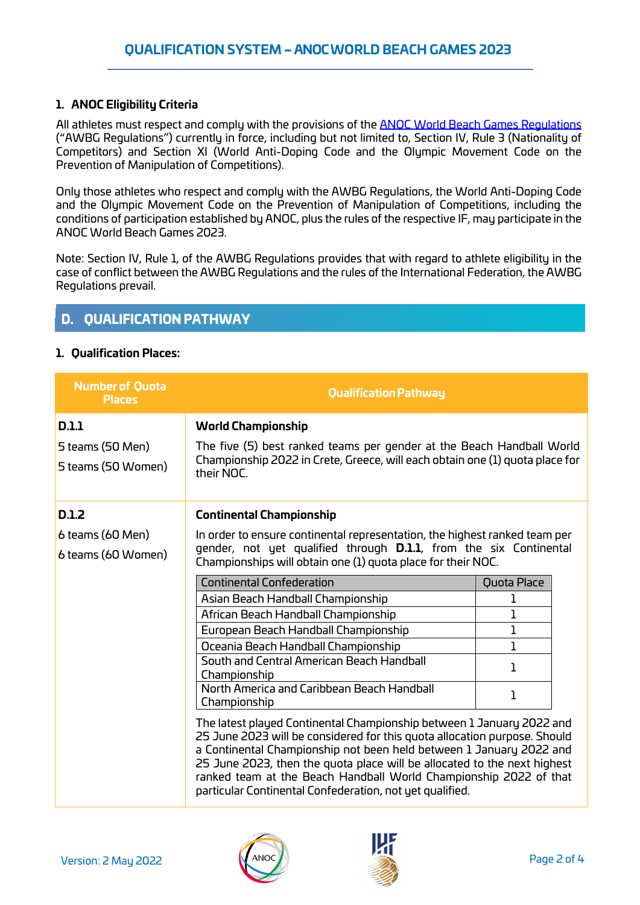#### **1. ANOC Eligibility Criteria**

All athletes must respect and comply with the provisions of the **ANOC World [Beach Games Regulations](https://www.anocolympic.org/wp-content/uploads/2021/09/AWBGRegulations-1.pdf)** ("AWBG Regulations") currently in force, including but not limited to, Section IV, Rule 3 (Nationality of Competitors) and Section XI (World Anti-Doping Code and the Olympic Movement Code on the Prevention of Manipulation of Competitions).

Only those athletes who respect and comply with the AWBG Regulations, the World Anti-Doping Code and the Olympic Movement Code on the Prevention of Manipulation of Competitions, including the conditions of participation established by ANOC, plus the rules of the respective IF, may participate in the ANOC World Beach Games 2023.

Note: Section IV, Rule 1, of the AWBG Regulations provides that with regard to athlete eligibility in the case of conflict between the AWBG Regulations and the rules of the International Federation, the AWBG Regulations prevail.

# D. QUALIFICATION PATHWAY

#### **1. Qualification Places:**

| <b>Number of Quota</b><br><b>Places</b>         | <b>Qualification Pathway</b>                                                                                                                                                                                                                                                                                                                                                                                                                                                                                                                                                                                                                                                                                                                                     |                                                                            |
|-------------------------------------------------|------------------------------------------------------------------------------------------------------------------------------------------------------------------------------------------------------------------------------------------------------------------------------------------------------------------------------------------------------------------------------------------------------------------------------------------------------------------------------------------------------------------------------------------------------------------------------------------------------------------------------------------------------------------------------------------------------------------------------------------------------------------|----------------------------------------------------------------------------|
| D.1.1<br>5 teams (50 Men)<br>5 teams (50 Women) | <b>World Championship</b><br>The five (5) best ranked teams per gender at the Beach Handball World<br>Championship 2022 in Crete, Greece, will each obtain one (1) quota place for<br>their NOC.                                                                                                                                                                                                                                                                                                                                                                                                                                                                                                                                                                 |                                                                            |
| D.1.2<br>6 teams (60 Men)<br>6 teams (60 Women) | <b>Continental Championship</b><br>In order to ensure continental representation, the highest ranked team per<br>gender, not yet qualified through <b>D.1.1</b> , from the six Continental<br>Championships will obtain one (1) quota place for their NOC.                                                                                                                                                                                                                                                                                                                                                                                                                                                                                                       |                                                                            |
|                                                 | <b>Continental Confederation</b><br>Asian Beach Handball Championship<br>African Beach Handball Championship<br>European Beach Handball Championship<br>Oceania Beach Handball Championship<br>South and Central American Beach Handball<br>Championship<br>North America and Caribbean Beach Handball<br>Championship<br>The latest played Continental Championship between 1 January 2022 and<br>25 June 2023 will be considered for this quota allocation purpose. Should<br>a Continental Championship not been held between 1 January 2022 and<br>25 June 2023, then the quota place will be allocated to the next highest<br>ranked team at the Beach Handball World Championship 2022 of that<br>particular Continental Confederation, not yet qualified. | Quota Place<br>1<br>$\mathbf{I}$<br>$\mathbf{I}$<br>1<br>$\mathbf{1}$<br>1 |



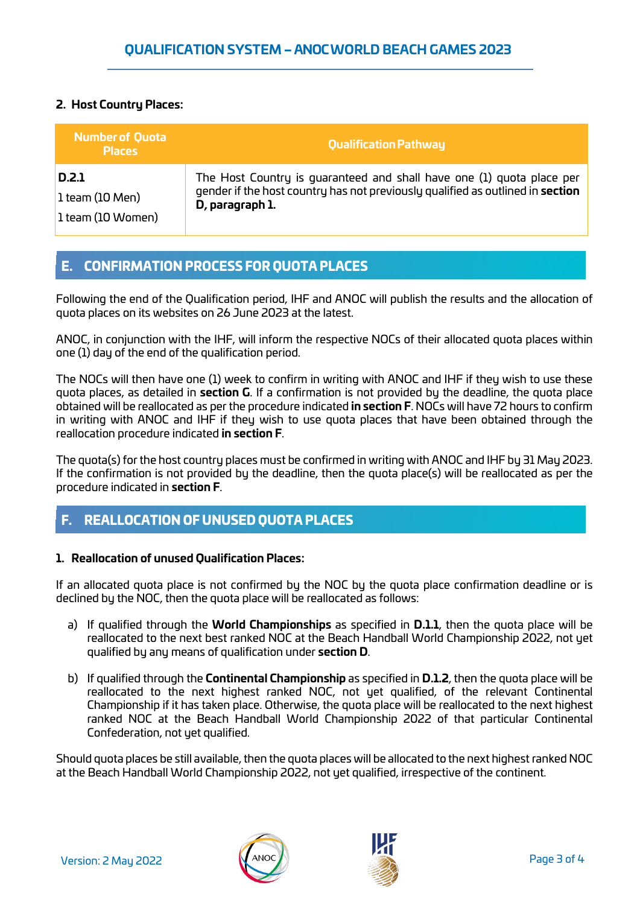## **2. Host Country Places:**

| <b>Number of Quota</b><br><b>Places</b> | <b>Qualification Pathway</b>                                                   |
|-----------------------------------------|--------------------------------------------------------------------------------|
| D.2.1                                   | The Host Country is guaranteed and shall have one (1) quota place per          |
| $l$ team (10 Men)                       | gender if the host country has not previously qualified as outlined in section |
| 1 team (10 Women)                       | D, paragraph 1.                                                                |

## E. CONFIRMATION PROCESS FOR QUOTA PLACES

Following the end of the Qualification period, IHF and ANOC will publish the results and the allocation of quota places on its websites on 26 June 2023 at the latest.

ANOC, in conjunction with the IHF, will inform the respective NOCs of their allocated quota places within one (1) day of the end of the qualification period.

The NOCs will then have one (1) week to confirm in writing with ANOC and IHF if they wish to use these quota places, as detailed in **section G**. If a confirmation is not provided by the deadline, the quota place obtained will be reallocated as per the procedure indicated **in section F**. NOCs will have 72 hours to confirm in writing with ANOC and IHF if they wish to use quota places that have been obtained through the reallocation procedure indicated **in section F**.

The quota(s) for the host country places must be confirmed in writing with ANOC and IHF by 31 May 2023. If the confirmation is not provided by the deadline, then the quota place(s) will be reallocated as per the procedure indicated in **section F**.

# F. REALLOCATION OF UNUSED QUOTA PLACES

#### **1. Reallocation of unused Qualification Places:**

If an allocated quota place is not confirmed by the NOC by the quota place confirmation deadline or is declined by the NOC, then the quota place will be reallocated as follows:

- a) If qualified through the **World Championships** as specified in **D.1.1**, then the quota place will be reallocated to the next best ranked NOC at the Beach Handball World Championship 2022, not yet qualified by any means of qualification under **section D**.
- b) If qualified through the **Continental Championship** as specified in **D.1.2**, then the quota place will be reallocated to the next highest ranked NOC, not yet qualified, of the relevant Continental Championship if it has taken place. Otherwise, the quota place will be reallocated to the next highest ranked NOC at the Beach Handball World Championship 2022 of that particular Continental Confederation, not yet qualified.

Should quota places be still available, then the quota places will be allocated to the next highest ranked NOC at the Beach Handball World Championship 2022, not yet qualified, irrespective of the continent.